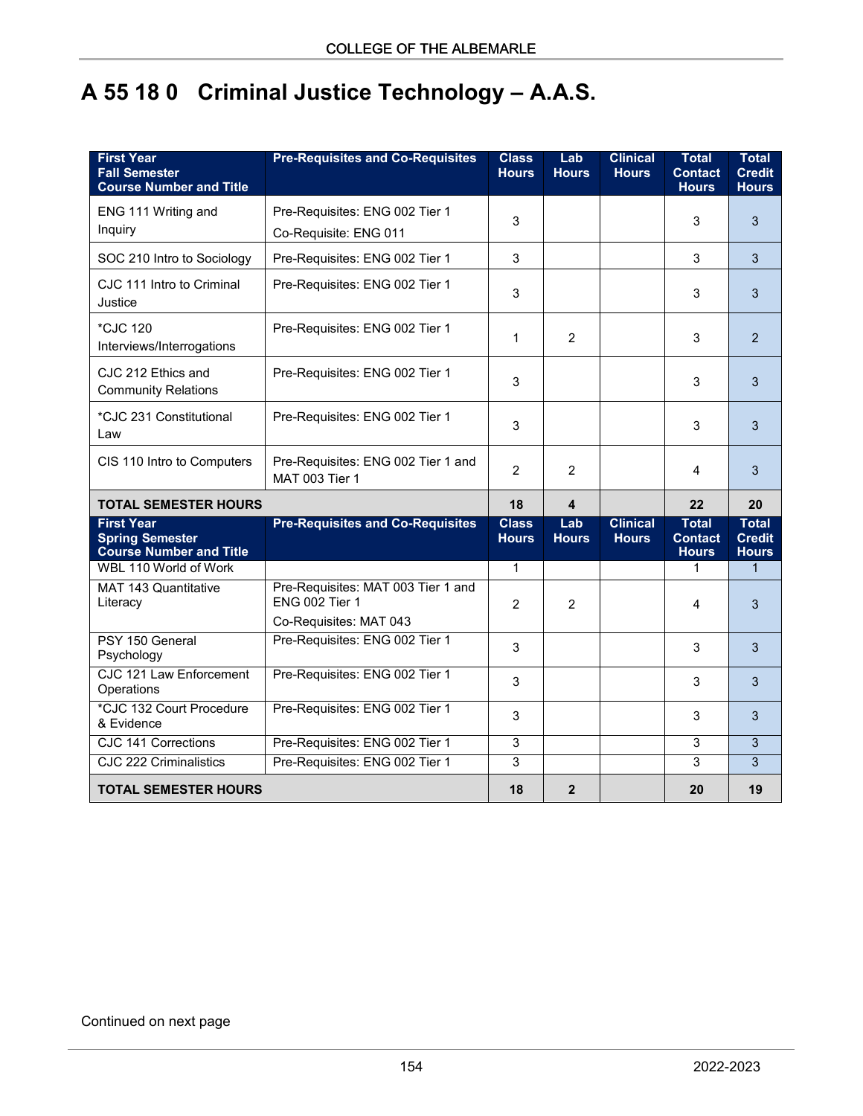## **A 55 18 0 Criminal Justice Technology – A.A.S.**

| <b>First Year</b><br><b>Fall Semester</b><br><b>Course Number and Title</b>   | <b>Pre-Requisites and Co-Requisites</b>                                               | <b>Class</b><br><b>Hours</b> | Lab<br><b>Hours</b>     | <b>Clinical</b><br><b>Hours</b> | <b>Total</b><br><b>Contact</b><br><b>Hours</b> | <b>Total</b><br><b>Credit</b><br><b>Hours</b> |
|-------------------------------------------------------------------------------|---------------------------------------------------------------------------------------|------------------------------|-------------------------|---------------------------------|------------------------------------------------|-----------------------------------------------|
| ENG 111 Writing and<br>Inquiry                                                | Pre-Requisites: ENG 002 Tier 1<br>Co-Requisite: ENG 011                               | 3                            |                         |                                 | 3                                              | 3                                             |
| SOC 210 Intro to Sociology                                                    | Pre-Requisites: ENG 002 Tier 1                                                        | 3                            |                         |                                 | 3                                              | 3                                             |
| CJC 111 Intro to Criminal<br>Justice                                          | Pre-Requisites: ENG 002 Tier 1                                                        | 3                            |                         |                                 | 3                                              | 3                                             |
| *CJC 120<br>Interviews/Interrogations                                         | Pre-Requisites: ENG 002 Tier 1                                                        | 1                            | 2                       |                                 | 3                                              | $\mathcal{P}$                                 |
| CJC 212 Ethics and<br><b>Community Relations</b>                              | Pre-Requisites: ENG 002 Tier 1                                                        | 3                            |                         |                                 | 3                                              | 3                                             |
| *CJC 231 Constitutional<br>Law                                                | Pre-Requisites: ENG 002 Tier 1                                                        | 3                            |                         |                                 | 3                                              | 3                                             |
| CIS 110 Intro to Computers                                                    | Pre-Requisites: ENG 002 Tier 1 and<br><b>MAT 003 Tier 1</b>                           | $\overline{2}$               | $\overline{c}$          |                                 | 4                                              | 3                                             |
| <b>TOTAL SEMESTER HOURS</b>                                                   |                                                                                       | 18                           | $\overline{\mathbf{4}}$ |                                 | 22                                             | 20                                            |
| <b>First Year</b><br><b>Spring Semester</b><br><b>Course Number and Title</b> | <b>Pre-Requisites and Co-Requisites</b>                                               | <b>Class</b><br><b>Hours</b> | Lab<br><b>Hours</b>     | <b>Clinical</b><br><b>Hours</b> | <b>Total</b><br><b>Contact</b><br><b>Hours</b> | <b>Total</b><br><b>Credit</b><br><b>Hours</b> |
| WBL 110 World of Work                                                         |                                                                                       | 1                            |                         |                                 | 1                                              | $\mathbf{1}$                                  |
| MAT 143 Quantitative<br>Literacy                                              | Pre-Requisites: MAT 003 Tier 1 and<br><b>ENG 002 Tier 1</b><br>Co-Requisites: MAT 043 | $\overline{2}$               | $\overline{2}$          |                                 | 4                                              | 3                                             |
| PSY 150 General<br>Psychology                                                 | Pre-Requisites: ENG 002 Tier 1                                                        | 3                            |                         |                                 | 3                                              | 3                                             |
| CJC 121 Law Enforcement<br>Operations                                         | Pre-Requisites: ENG 002 Tier 1                                                        | 3                            |                         |                                 | 3                                              | 3                                             |
| *CJC 132 Court Procedure<br>& Evidence                                        | Pre-Requisites: ENG 002 Tier 1                                                        | 3                            |                         |                                 | 3                                              | 3                                             |
| <b>CJC 141 Corrections</b>                                                    | Pre-Requisites: ENG 002 Tier 1                                                        | 3                            |                         |                                 | 3                                              | $\mathbf{3}$                                  |
| <b>CJC 222 Criminalistics</b>                                                 | Pre-Requisites: ENG 002 Tier 1                                                        | 3                            |                         |                                 | 3                                              | 3                                             |
| <b>TOTAL SEMESTER HOURS</b>                                                   |                                                                                       | 18                           | $\overline{2}$          |                                 | 20                                             | 19                                            |